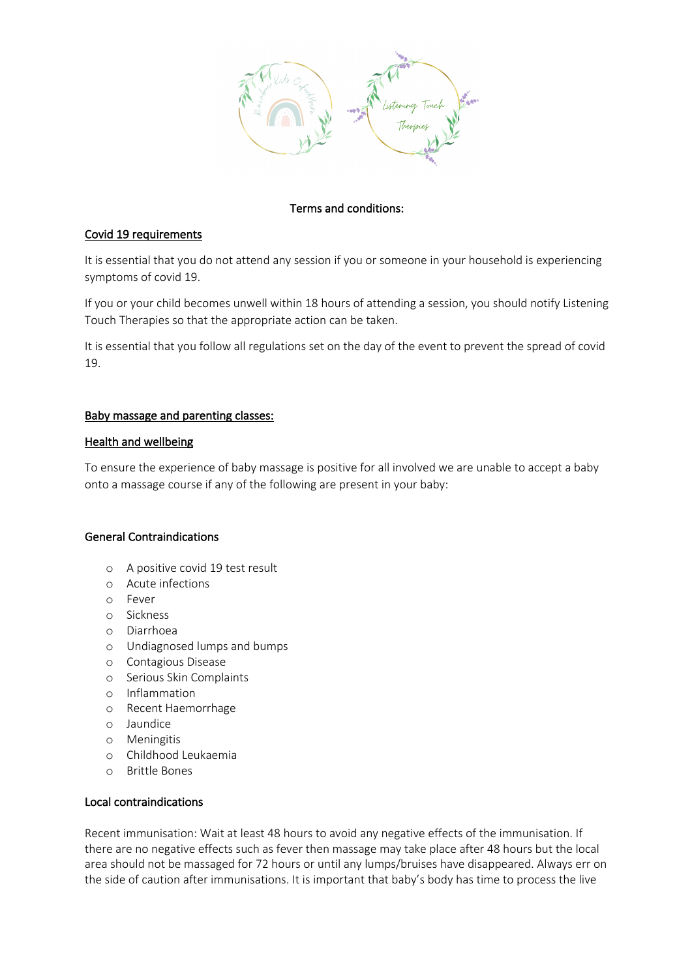

# Terms and conditions:

## Covid 19 requirements

It is essential that you do not attend any session if you or someone in your household is experiencing symptoms of covid 19.

If you or your child becomes unwell within 18 hours of attending a session, you should notify Listening Touch Therapies so that the appropriate action can be taken.

It is essential that you follow all regulations set on the day of the event to prevent the spread of covid 19.

### Baby massage and parenting classes:

#### Health and wellbeing

To ensure the experience of baby massage is positive for all involved we are unable to accept a baby onto a massage course if any of the following are present in your baby:

#### General Contraindications

- o A positive covid 19 test result
- o Acute infections
- o Fever
- o Sickness
- o Diarrhoea
- o Undiagnosed lumps and bumps
- o Contagious Disease
- o Serious Skin Complaints
- o Inflammation
- o Recent Haemorrhage
- o Jaundice
- o Meningitis
- o Childhood Leukaemia
- o Brittle Bones

### Local contraindications

Recent immunisation: Wait at least 48 hours to avoid any negative effects of the immunisation. If there are no negative effects such as fever then massage may take place after 48 hours but the local area should not be massaged for 72 hours or until any lumps/bruises have disappeared. Always err on the side of caution after immunisations. It is important that baby's body has time to process the live